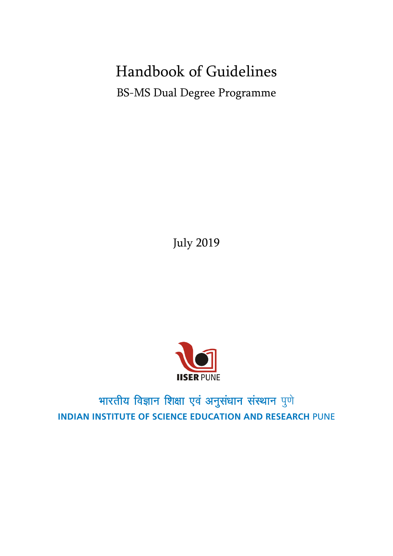# Handbook of Guidelines BS-MS Dual Degree Programme

July 2019



# भारतीय विज्ञान शिक्षा एवं अनुसंधान संस्थान पुणे **INDIAN INSTITUTE OF SCIENCE EDUCATION AND RESEARCH** PUNE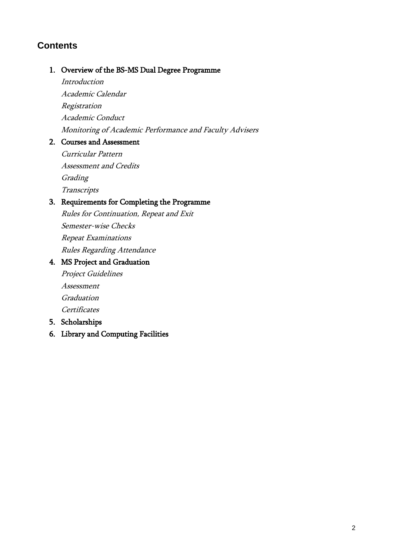# **Contents**

#### 1. Overview of the BS-MS Dual Degree Programme

Introduction

Academic Calendar Registration Academic Conduct Monitoring of Academic Performance and Faculty Advisers

#### 2. Courses and Assessment

Curricular Pattern Assessment and Credits **Grading Transcripts** 

## 3. Requirements for Completing the Programme

Rules for Continuation, Repeat and Exit Semester-wise Checks Repeat Examinations Rules Regarding Attendance

### 4. MS Project and Graduation

Project Guidelines

Assessment

Graduation

**Certificates** 

- 5. Scholarships
- 6. Library and Computing Facilities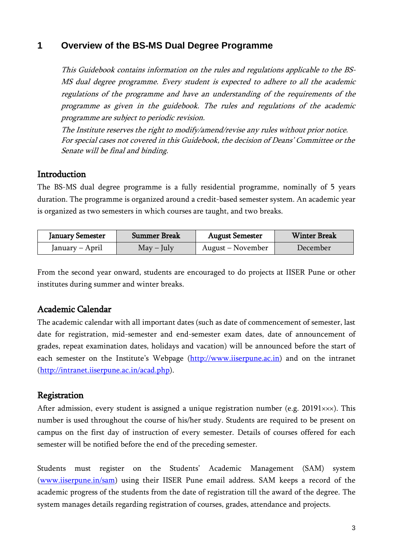## **1 Overview of the BS-MS Dual Degree Programme**

This Guidebook contains information on the rules and regulations applicable to the BS-MS dual degree programme. Every student is expected to adhere to all the academic regulations of the programme and have an understanding of the requirements of the programme as given in the guidebook. The rules and regulations of the academic programme are subject to periodic revision.

The Institute reserves the right to modify/amend/revise any rules without prior notice. For special cases not covered in this Guidebook, the decision of Deans' Committee or the Senate will be final and binding.

#### **Introduction**

The BS-MS dual degree programme is a fully residential programme, nominally of 5 years duration. The programme is organized around a credit-based semester system. An academic year is organized as two semesters in which courses are taught, and two breaks.

| <b>January Semester</b> | <b>Summer Break</b> | <b>August Semester</b> | <b>Winter Break</b> |  |
|-------------------------|---------------------|------------------------|---------------------|--|
| January – April         | $May - July$        | August – November      | December            |  |

From the second year onward, students are encouraged to do projects at IISER Pune or other institutes during summer and winter breaks.

## Academic Calendar

The academic calendar with all important dates (such as date of commencement of semester, last date for registration, mid-semester and end-semester exam dates, date of announcement of grades, repeat examination dates, holidays and vacation) will be announced before the start of each semester on the Institute's Webpage [\(http://www.iiserpune.ac.in\)](http://www.iiserpune.ac.in/) and on the intranet [\(http://intranet.iiserpune.ac.in/acad.php\)](http://intranet.iiserpune.ac.in/acad.php).

## Registration

After admission, every student is assigned a unique registration number (e.g.  $20191 \times x \times$ ). This number is used throughout the course of his/her study. Students are required to be present on campus on the first day of instruction of every semester. Details of courses offered for each semester will be notified before the end of the preceding semester.

Students must register on the Students' Academic Management (SAM) system [\(www.iiserpune.in/sam\)](http://www.iiserpune.in/sam) using their IISER Pune email address. SAM keeps a record of the academic progress of the students from the date of registration till the award of the degree. The system manages details regarding registration of courses, grades, attendance and projects.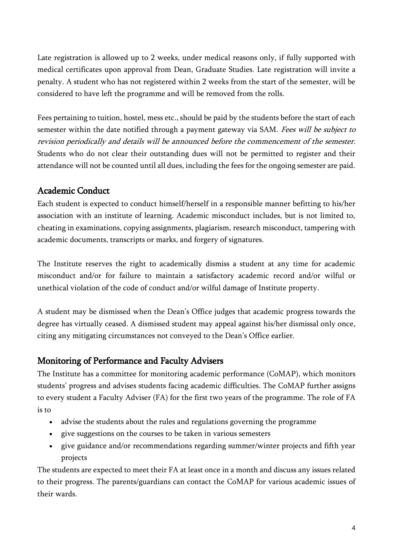Late registration is allowed up to 2 weeks, under medical reasons only, if fully supported with medical certificates upon approval from Dean, Graduate Studies. Late registration will invite a penalty. A student who has not registered within 2 weeks from the start of the semester, will be considered to have left the programme and will be removed from the rolls.

Fees pertaining to tuition, hostel, mess etc., should be paid by the students before the start of each semester within the date notified through a payment gateway via SAM. Fees will be subject to revision periodically and details will be announced before the commencement of the semester. Students who do not clear their outstanding dues will not be permitted to register and their attendance will not be counted until all dues, including the fees for the ongoing semester are paid.

# Academic Conduct

Each student is expected to conduct himself/herself in a responsible manner befitting to his/her association with an institute of learning. Academic misconduct includes, but is not limited to, cheating in examinations, copying assignments, plagiarism, research misconduct, tampering with academic documents, transcripts or marks, and forgery of signatures.

The Institute reserves the right to academically dismiss a student at any time for academic misconduct and/or for failure to maintain a satisfactory academic record and/or wilful or unethical violation of the code of conduct and/or wilful damage of Institute property.

A student may be dismissed when the Dean's Office judges that academic progress towards the degree has virtually ceased. A dismissed student may appeal against his/her dismissal only once, citing any mitigating circumstances not conveyed to the Dean's Office earlier.

## Monitoring of Performance and Faculty Advisers

The Institute has a committee for monitoring academic performance (CoMAP), which monitors students' progress and advises students facing academic difficulties. The CoMAP further assigns to every student a Faculty Adviser (FA) for the first two years of the programme. The role of FA is to

- advise the students about the rules and regulations governing the programme
- give suggestions on the courses to be taken in various semesters
- give guidance and/or recommendations regarding summer/winter projects and fifth year projects

The students are expected to meet their FA at least once in a month and discuss any issues related to their progress. The parents/guardians can contact the CoMAP for various academic issues of their wards.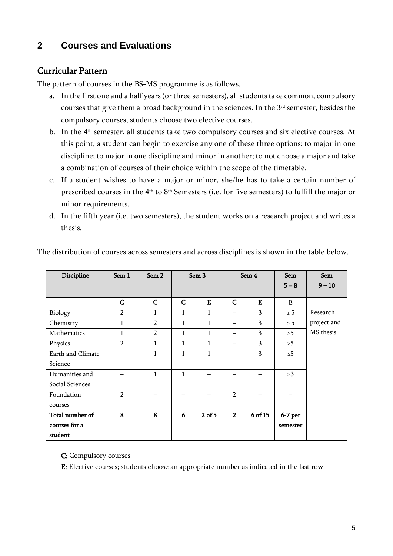# **2 Courses and Evaluations**

## Curricular Pattern

The pattern of courses in the BS-MS programme is as follows.

- a. In the first one and a half years (or three semesters), all students take common, compulsory courses that give them a broad background in the sciences. In the 3rd semester, besides the compulsory courses, students choose two elective courses.
- b. In the 4<sup>th</sup> semester, all students take two compulsory courses and six elective courses. At this point, a student can begin to exercise any one of these three options: to major in one discipline; to major in one discipline and minor in another; to not choose a major and take a combination of courses of their choice within the scope of the timetable.
- c. If a student wishes to have a major or minor, she/he has to take a certain number of prescribed courses in the 4<sup>th</sup> to 8<sup>th</sup> Semesters (i.e. for five semesters) to fulfill the major or minor requirements.
- d. In the fifth year (i.e. two semesters), the student works on a research project and writes a thesis.

| Discipline        | Sem 1          | Sem <sub>2</sub> |              | Sem <sub>3</sub> |                | Sem 4        | <b>Sem</b> | <b>Sem</b>  |
|-------------------|----------------|------------------|--------------|------------------|----------------|--------------|------------|-------------|
|                   |                |                  |              |                  |                |              | $5 - 8$    | $9 - 10$    |
|                   | $\mathsf{C}$   | $\mathsf{C}$     | C            | E                | $\mathsf C$    | $\mathbf{E}$ | E          |             |
| Biology           | $\overline{2}$ | 1                | $\mathbf{1}$ | $\mathbf{1}$     |                | 3            | $\geq 5$   | Research    |
| Chemistry         | 1              | $\overline{2}$   | $\mathbf{1}$ | $\mathbf{1}$     |                | 3            | $\geq 5$   | project and |
| Mathematics       | 1              | $\overline{2}$   | $\mathbf{1}$ | $\mathbf{1}$     |                | 3            | $\geq 5$   | MS thesis   |
| Physics           | $\mathcal{P}$  | 1                | 1            | $\mathbf{1}$     |                | 3            | $\geq 5$   |             |
| Earth and Climate |                | $\mathbf{1}$     | 1            | $\mathbf{1}$     |                | 3            | $\geq 5$   |             |
| Science           |                |                  |              |                  |                |              |            |             |
| Humanities and    |                | $\mathbf{1}$     | $\mathbf{1}$ |                  |                |              | $\geq 3$   |             |
| Social Sciences   |                |                  |              |                  |                |              |            |             |
| Foundation        | $\mathcal{D}$  |                  |              |                  | $\mathcal{P}$  |              |            |             |
| courses           |                |                  |              |                  |                |              |            |             |
| Total number of   | 8              | 8                | 6            | $2$ of 5         | $\overline{2}$ | 6 of 15      | $6-7$ per  |             |
| courses for a     |                |                  |              |                  |                |              | semester   |             |
| student           |                |                  |              |                  |                |              |            |             |

The distribution of courses across semesters and across disciplines is shown in the table below.

C: Compulsory courses

E: Elective courses; students choose an appropriate number as indicated in the last row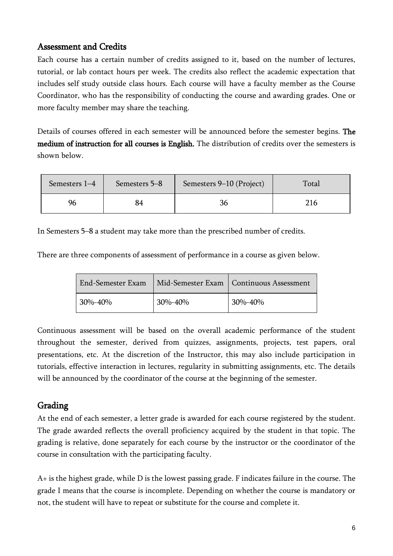## Assessment and Credits

Each course has a certain number of credits assigned to it, based on the number of lectures, tutorial, or lab contact hours per week. The credits also reflect the academic expectation that includes self study outside class hours. Each course will have a faculty member as the Course Coordinator, who has the responsibility of conducting the course and awarding grades. One or more faculty member may share the teaching.

Details of courses offered in each semester will be announced before the semester begins. The medium of instruction for all courses is English. The distribution of credits over the semesters is shown below.

| Semesters 1-4 | Semesters 5-8 | Semesters 9–10 (Project) | Total |
|---------------|---------------|--------------------------|-------|
| 96            |               | 36                       | 216   |

In Semesters 5–8 a student may take more than the prescribed number of credits.

There are three components of assessment of performance in a course as given below.

| End-Semester Exam |         | Mid-Semester Exam   Continuous Assessment |
|-------------------|---------|-------------------------------------------|
| $30\% - 40\%$     | 30%-40% | 30%-40%                                   |

Continuous assessment will be based on the overall academic performance of the student throughout the semester, derived from quizzes, assignments, projects, test papers, oral presentations, etc. At the discretion of the Instructor, this may also include participation in tutorials, effective interaction in lectures, regularity in submitting assignments, etc. The details will be announced by the coordinator of the course at the beginning of the semester.

# Grading

At the end of each semester, a letter grade is awarded for each course registered by the student. The grade awarded reflects the overall proficiency acquired by the student in that topic. The grading is relative, done separately for each course by the instructor or the coordinator of the course in consultation with the participating faculty.

A+ is the highest grade, while D is the lowest passing grade. F indicates failure in the course. The grade I means that the course is incomplete. Depending on whether the course is mandatory or not, the student will have to repeat or substitute for the course and complete it.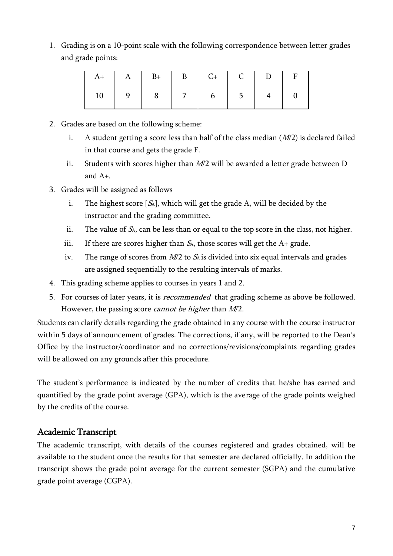1. Grading is on a 10-point scale with the following correspondence between letter grades and grade points:

|  |  | $A+$ $A$ $B+$ $B$ $C+$ $C$ $D$ $F$                    |  |  |
|--|--|-------------------------------------------------------|--|--|
|  |  | $10 \mid 9 \mid 8 \mid 7 \mid 6 \mid 5 \mid 4 \mid 0$ |  |  |

- 2. Grades are based on the following scheme:
	- i. A student getting a score less than half of the class median  $(M/2)$  is declared failed in that course and gets the grade F.
	- ii. Students with scores higher than  $M/2$  will be awarded a letter grade between D and A+.
- 3. Grades will be assigned as follows
	- i. The highest score  $[S_A]$ , which will get the grade A, will be decided by the instructor and the grading committee.
	- ii. The value of  $S_A$ , can be less than or equal to the top score in the class, not higher.
	- iii. If there are scores higher than  $S_A$ , those scores will get the  $A$ + grade.
	- iv. The range of scores from  $M/2$  to  $S_A$  is divided into six equal intervals and grades are assigned sequentially to the resulting intervals of marks.
- 4. This grading scheme applies to courses in years 1 and 2.
- 5. For courses of later years, it is *recommended* that grading scheme as above be followed. However, the passing score *cannot be higher* than  $M/2$ .

Students can clarify details regarding the grade obtained in any course with the course instructor within 5 days of announcement of grades. The corrections, if any, will be reported to the Dean's Office by the instructor/coordinator and no corrections/revisions/complaints regarding grades will be allowed on any grounds after this procedure.

The student's performance is indicated by the number of credits that he/she has earned and quantified by the grade point average (GPA), which is the average of the grade points weighed by the credits of the course.

## Academic Transcript

The academic transcript, with details of the courses registered and grades obtained, will be available to the student once the results for that semester are declared officially. In addition the transcript shows the grade point average for the current semester (SGPA) and the cumulative grade point average (CGPA).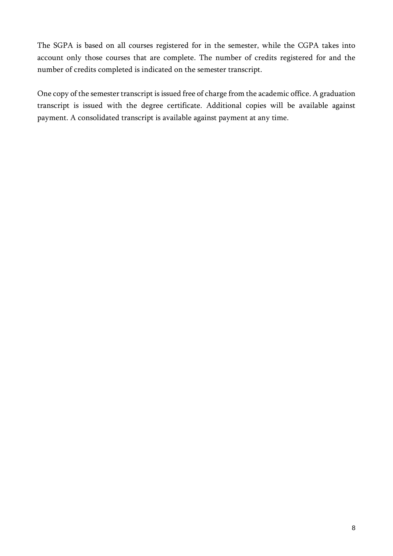The SGPA is based on all courses registered for in the semester, while the CGPA takes into account only those courses that are complete. The number of credits registered for and the number of credits completed is indicated on the semester transcript.

One copy of the semester transcript is issued free of charge from the academic office. A graduation transcript is issued with the degree certificate. Additional copies will be available against payment. A consolidated transcript is available against payment at any time.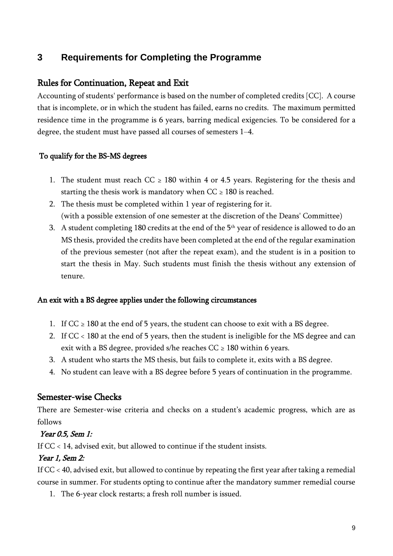# **3 Requirements for Completing the Programme**

## Rules for Continuation, Repeat and Exit

Accounting of students' performance is based on the number of completed credits [CC]. A course that is incomplete, or in which the student has failed, earns no credits. The maximum permitted residence time in the programme is 6 years, barring medical exigencies. To be considered for a degree, the student must have passed all courses of semesters 1–4.

#### To qualify for the BS-MS degrees

- 1. The student must reach  $CC \geq 180$  within 4 or 4.5 years. Registering for the thesis and starting the thesis work is mandatory when  $CC \ge 180$  is reached.
- 2. The thesis must be completed within 1 year of registering for it. (with a possible extension of one semester at the discretion of the Deans' Committee)
- 3. A student completing 180 credits at the end of the 5<sup>th</sup> year of residence is allowed to do an MS thesis, provided the credits have been completed at the end of the regular examination of the previous semester (not after the repeat exam), and the student is in a position to start the thesis in May. Such students must finish the thesis without any extension of tenure.

#### An exit with a BS degree applies under the following circumstances

- 1. If  $CC \ge 180$  at the end of 5 years, the student can choose to exit with a BS degree.
- 2. If CC < 180 at the end of 5 years, then the student is ineligible for the MS degree and can exit with a BS degree, provided s/he reaches  $CC \ge 180$  within 6 years.
- 3. A student who starts the MS thesis, but fails to complete it, exits with a BS degree.
- 4. No student can leave with a BS degree before 5 years of continuation in the programme.

## Semester-wise Checks

There are Semester-wise criteria and checks on a student's academic progress, which are as follows

#### Year 0.5, Sem 1:

If CC < 14, advised exit, but allowed to continue if the student insists.

## Year 1, Sem 2:

If CC < 40, advised exit, but allowed to continue by repeating the first year after taking a remedial course in summer. For students opting to continue after the mandatory summer remedial course

1. The 6-year clock restarts; a fresh roll number is issued.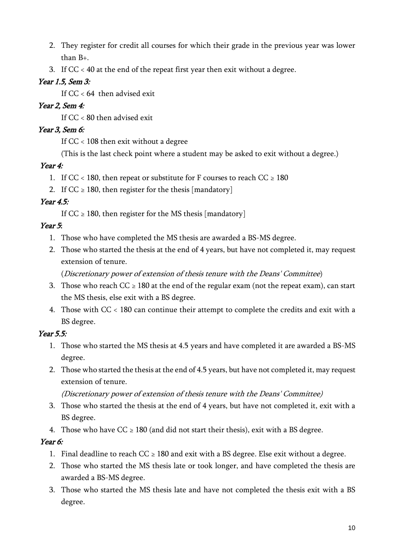- 2. They register for credit all courses for which their grade in the previous year was lower than B+.
- 3. If CC < 40 at the end of the repeat first year then exit without a degree.

## Year 1.5, Sem 3:

If  $CC < 64$  then advised exit

## Year 2, Sem 4:

If CC < 80 then advised exit

## Year 3, Sem 6:

If CC < 108 then exit without a degree

(This is the last check point where a student may be asked to exit without a degree.)

## Year 4:

- 1. If CC < 180, then repeat or substitute for F courses to reach CC  $\geq 180$
- 2. If  $CC \ge 180$ , then register for the thesis [mandatory]

## Year  $4.5$ :

If  $CC \ge 180$ , then register for the MS thesis [mandatory]

# Year 5:

- 1. Those who have completed the MS thesis are awarded a BS-MS degree.
- 2. Those who started the thesis at the end of 4 years, but have not completed it, may request extension of tenure.

(Discretionary power of extension of thesis tenure with the Deans' Committee)

- 3. Those who reach  $CC \ge 180$  at the end of the regular exam (not the repeat exam), can start the MS thesis, else exit with a BS degree.
- 4. Those with CC < 180 can continue their attempt to complete the credits and exit with a BS degree.

# Year 5.5:

- 1. Those who started the MS thesis at 4.5 years and have completed it are awarded a BS-MS degree.
- 2. Those who started the thesis at the end of 4.5 years, but have not completed it, may request extension of tenure.
	- (Discretionary power of extension of thesis tenure with the Deans' Committee)
- 3. Those who started the thesis at the end of 4 years, but have not completed it, exit with a BS degree.
- 4. Those who have  $CC \ge 180$  (and did not start their thesis), exit with a BS degree.

## Year 6:

- 1. Final deadline to reach  $CC \ge 180$  and exit with a BS degree. Else exit without a degree.
- 2. Those who started the MS thesis late or took longer, and have completed the thesis are awarded a BS-MS degree.
- 3. Those who started the MS thesis late and have not completed the thesis exit with a BS degree.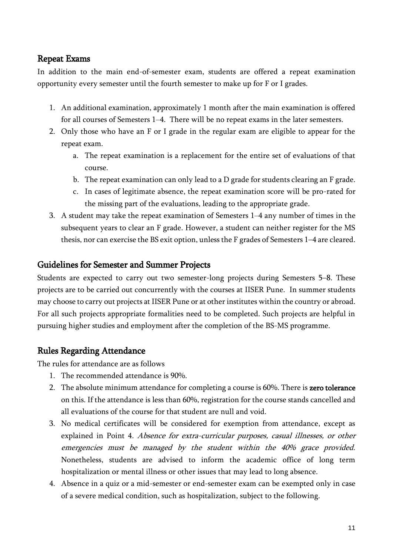## Repeat Exams

In addition to the main end-of-semester exam, students are offered a repeat examination opportunity every semester until the fourth semester to make up for F or I grades.

- 1. An additional examination, approximately 1 month after the main examination is offered for all courses of Semesters 1–4. There will be no repeat exams in the later semesters.
- 2. Only those who have an F or I grade in the regular exam are eligible to appear for the repeat exam.
	- a. The repeat examination is a replacement for the entire set of evaluations of that course.
	- b. The repeat examination can only lead to a D grade for students clearing an F grade.
	- c. In cases of legitimate absence, the repeat examination score will be pro-rated for the missing part of the evaluations, leading to the appropriate grade.
- 3. A student may take the repeat examination of Semesters 1–4 any number of times in the subsequent years to clear an F grade. However, a student can neither register for the MS thesis, nor can exercise the BS exit option, unless the F grades of Semesters 1–4 are cleared.

## Guidelines for Semester and Summer Projects

Students are expected to carry out two semester-long projects during Semesters 5–8. These projects are to be carried out concurrently with the courses at IISER Pune. In summer students may choose to carry out projects at IISER Pune or at other institutes within the country or abroad. For all such projects appropriate formalities need to be completed. Such projects are helpful in pursuing higher studies and employment after the completion of the BS-MS programme.

## Rules Regarding Attendance

The rules for attendance are as follows

- 1. The recommended attendance is 90%.
- 2. The absolute minimum attendance for completing a course is 60%. There is zero tolerance on this. If the attendance is less than 60%, registration for the course stands cancelled and all evaluations of the course for that student are null and void.
- 3. No medical certificates will be considered for exemption from attendance, except as explained in Point 4. Absence for extra-curricular purposes, casual illnesses, or other emergencies must be managed by the student within the 40% grace provided. Nonetheless, students are advised to inform the academic office of long term hospitalization or mental illness or other issues that may lead to long absence.
- 4. Absence in a quiz or a mid-semester or end-semester exam can be exempted only in case of a severe medical condition, such as hospitalization, subject to the following.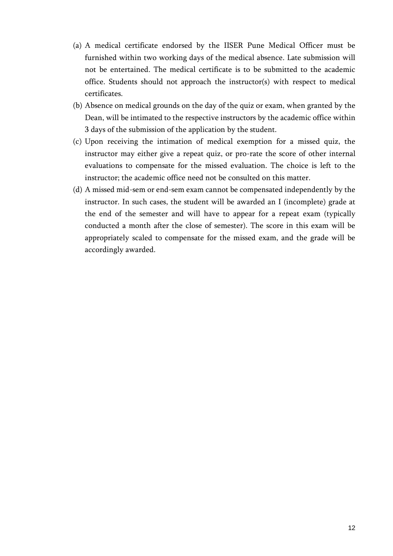- (a) A medical certificate endorsed by the IISER Pune Medical Officer must be furnished within two working days of the medical absence. Late submission will not be entertained. The medical certificate is to be submitted to the academic office. Students should not approach the instructor(s) with respect to medical certificates.
- (b) Absence on medical grounds on the day of the quiz or exam, when granted by the Dean, will be intimated to the respective instructors by the academic office within 3 days of the submission of the application by the student.
- (c) Upon receiving the intimation of medical exemption for a missed quiz, the instructor may either give a repeat quiz, or pro-rate the score of other internal evaluations to compensate for the missed evaluation. The choice is left to the instructor; the academic office need not be consulted on this matter.
- (d) A missed mid-sem or end-sem exam cannot be compensated independently by the instructor. In such cases, the student will be awarded an I (incomplete) grade at the end of the semester and will have to appear for a repeat exam (typically conducted a month after the close of semester). The score in this exam will be appropriately scaled to compensate for the missed exam, and the grade will be accordingly awarded.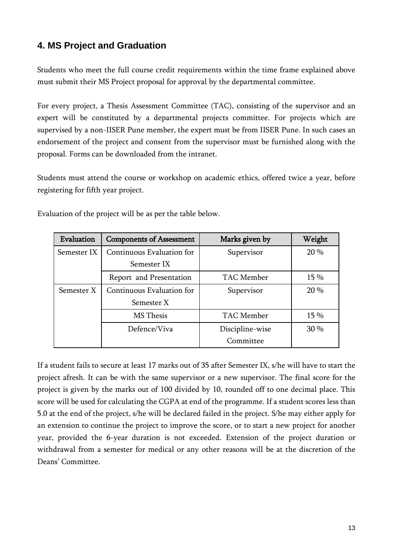# **4. MS Project and Graduation**

Students who meet the full course credit requirements within the time frame explained above must submit their MS Project proposal for approval by the departmental committee.

For every project, a Thesis Assessment Committee (TAC), consisting of the supervisor and an expert will be constituted by a departmental projects committee. For projects which are supervised by a non-IISER Pune member, the expert must be from IISER Pune. In such cases an endorsement of the project and consent from the supervisor must be furnished along with the proposal. Forms can be downloaded from the intranet.

Students must attend the course or workshop on academic ethics, offered twice a year, before registering for fifth year project.

| Evaluation  | <b>Components of Assessment</b> | Marks given by  | Weight |
|-------------|---------------------------------|-----------------|--------|
| Semester IX | Continuous Evaluation for       | Supervisor      | 20 %   |
|             | Semester IX                     |                 |        |
|             | Report and Presentation         | TAC Member      | 15 %   |
| Semester X  | Continuous Evaluation for       | Supervisor      | 20 %   |
|             | Semester X                      |                 |        |
|             | MS Thesis                       | TAC Member      | 15 %   |
|             | Defence/Viva                    | Discipline-wise | 30 %   |
|             |                                 | Committee       |        |

Evaluation of the project will be as per the table below.

If a student fails to secure at least 17 marks out of 35 after Semester IX, s/he will have to start the project afresh. It can be with the same supervisor or a new supervisor. The final score for the project is given by the marks out of 100 divided by 10, rounded off to one decimal place. This score will be used for calculating the CGPA at end of the programme. If a student scores less than 5.0 at the end of the project, s/he will be declared failed in the project. S/he may either apply for an extension to continue the project to improve the score, or to start a new project for another year, provided the 6-year duration is not exceeded. Extension of the project duration or withdrawal from a semester for medical or any other reasons will be at the discretion of the Deans' Committee.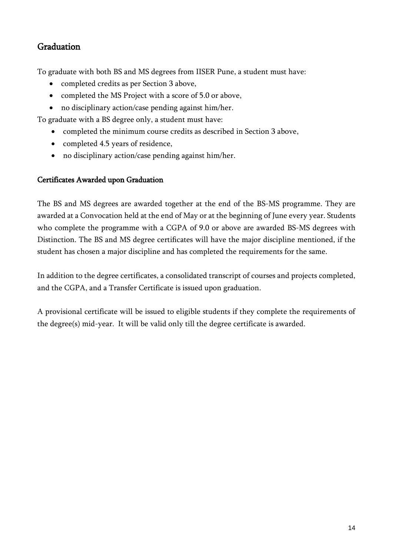# **Graduation**

To graduate with both BS and MS degrees from IISER Pune, a student must have:

- completed credits as per Section 3 above,
- completed the MS Project with a score of 5.0 or above,
- no disciplinary action/case pending against him/her.

To graduate with a BS degree only, a student must have:

- completed the minimum course credits as described in Section 3 above,
- completed 4.5 years of residence,
- no disciplinary action/case pending against him/her.

#### Certificates Awarded upon Graduation

The BS and MS degrees are awarded together at the end of the BS-MS programme. They are awarded at a Convocation held at the end of May or at the beginning of June every year. Students who complete the programme with a CGPA of 9.0 or above are awarded BS-MS degrees with Distinction. The BS and MS degree certificates will have the major discipline mentioned, if the student has chosen a major discipline and has completed the requirements for the same.

In addition to the degree certificates, a consolidated transcript of courses and projects completed, and the CGPA, and a Transfer Certificate is issued upon graduation.

A provisional certificate will be issued to eligible students if they complete the requirements of the degree(s) mid-year. It will be valid only till the degree certificate is awarded.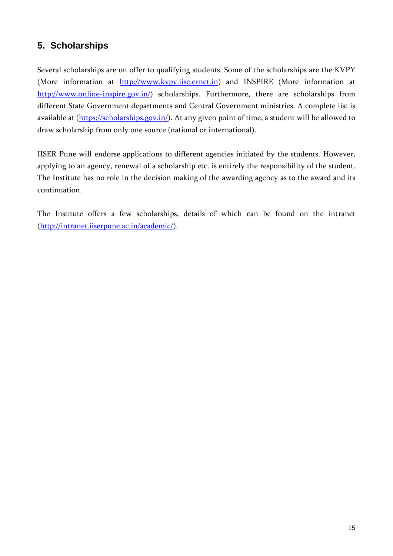# **5. Scholarships**

Several scholarships are on offer to qualifying students. Some of the scholarships are the KVPY (More information at [http://www.kvpy.iisc.ernet.in\)](http://www.kvpy.iisc.ernet.in/) and INSPIRE (More information at [http://www.online-inspire.gov.in/\)](http://www.online-inspire.gov.in/) scholarships. Furthermore, there are scholarships from different State Government departments and Central Government ministries. A complete list is available at [\(https://scholarships.gov.in/\)](https://scholarships.gov.in/). At any given point of time, a student will be allowed to draw scholarship from only one source (national or international).

IISER Pune will endorse applications to different agencies initiated by the students. However, applying to an agency, renewal of a scholarship etc. is entirely the responsibility of the student. The Institute has no role in the decision making of the awarding agency as to the award and its continuation.

The Institute offers a few scholarships, details of which can be found on the intranet [\(http://intranet.iiserpune.ac.in/academic/\)](http://intranet.iiserpune.ac.in/academic/).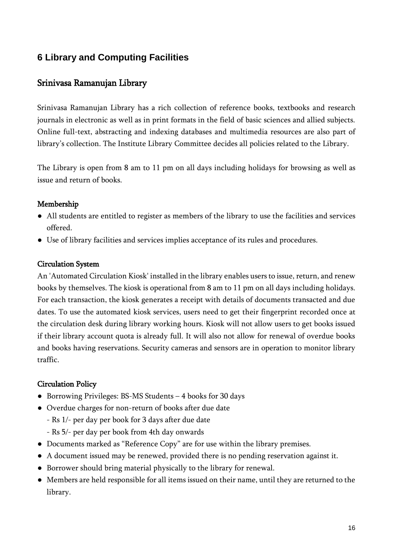# **6 Library and Computing Facilities**

## Srinivasa Ramanujan Library

Srinivasa Ramanujan Library has a rich collection of reference books, textbooks and research journals in electronic as well as in print formats in the field of basic sciences and allied subjects. Online full-text, abstracting and indexing databases and multimedia resources are also part of library's collection. The Institute Library Committee decides all policies related to the Library.

The Library is open from 8 am to 11 pm on all days including holidays for browsing as well as issue and return of books.

#### Membership

- All students are entitled to register as members of the library to use the facilities and services offered.
- Use of library facilities and services implies acceptance of its rules and procedures.

#### Circulation System

An 'Automated Circulation Kiosk' installed in the library enables users to issue, return, and renew books by themselves. The kiosk is operational from 8 am to 11 pm on all days including holidays. For each transaction, the kiosk generates a receipt with details of documents transacted and due dates. To use the automated kiosk services, users need to get their fingerprint recorded once at the circulation desk during library working hours. Kiosk will not allow users to get books issued if their library account quota is already full. It will also not allow for renewal of overdue books and books having reservations. Security cameras and sensors are in operation to monitor library traffic.

#### Circulation Policy

- Borrowing Privileges: BS-MS Students 4 books for 30 days
- Overdue charges for non-return of books after due date
	- Rs 1/- per day per book for 3 days after due date
	- Rs 5/- per day per book from 4th day onwards
- Documents marked as "Reference Copy" are for use within the library premises.
- A document issued may be renewed, provided there is no pending reservation against it.
- Borrower should bring material physically to the library for renewal.
- Members are held responsible for all items issued on their name, until they are returned to the library.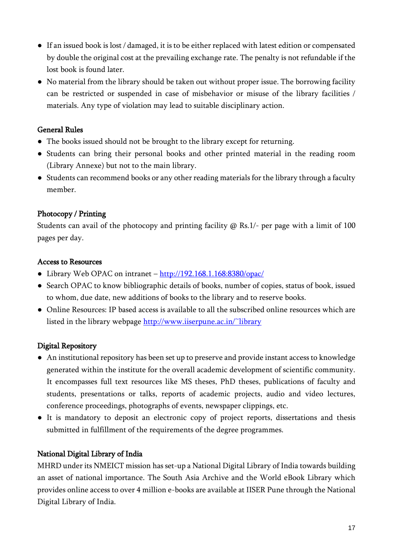- If an issued book is lost / damaged, it is to be either replaced with latest edition or compensated by double the original cost at the prevailing exchange rate. The penalty is not refundable if the lost book is found later.
- No material from the library should be taken out without proper issue. The borrowing facility can be restricted or suspended in case of misbehavior or misuse of the library facilities / materials. Any type of violation may lead to suitable disciplinary action.

#### General Rules

- The books issued should not be brought to the library except for returning.
- Students can bring their personal books and other printed material in the reading room (Library Annexe) but not to the main library.
- Students can recommend books or any other reading materials for the library through a faculty member.

## Photocopy / Printing

Students can avail of the photocopy and printing facility  $\omega$  Rs.1/- per page with a limit of 100 pages per day.

#### Access to Resources

- Library Web OPAC on intranet <http://192.168.1.168:8380/opac/>
- Search OPAC to know bibliographic details of books, number of copies, status of book, issued to whom, due date, new additions of books to the library and to reserve books.
- Online Resources: IP based access is available to all the subscribed online resources which are listed in the library webpage<http://www.iiserpune.ac.in/~library>

## Digital Repository

- An institutional repository has been set up to preserve and provide instant access to knowledge generated within the institute for the overall academic development of scientific community. It encompasses full text resources like MS theses, PhD theses, publications of faculty and students, presentations or talks, reports of academic projects, audio and video lectures, conference proceedings, photographs of events, newspaper clippings, etc.
- It is mandatory to deposit an electronic copy of project reports, dissertations and thesis submitted in fulfillment of the requirements of the degree programmes.

## National Digital Library of India

MHRD under its NMEICT mission has set-up a National Digital Library of India towards building an asset of national importance. The South Asia Archive and the World eBook Library which provides online access to over 4 million e-books are available at IISER Pune through the National Digital Library of India.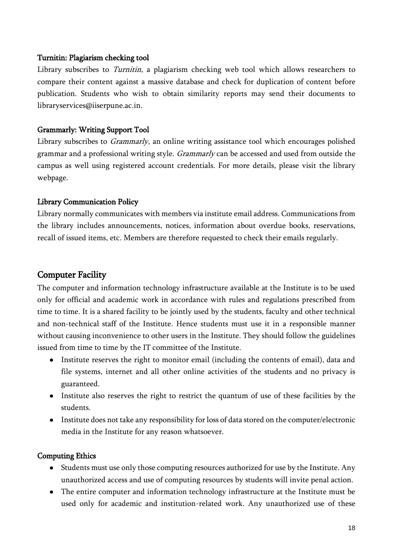#### Turnitin: Plagiarism checking tool

Library subscribes to *Turnitin*, a plagiarism checking web tool which allows researchers to compare their content against a massive database and check for duplication of content before publication. Students who wish to obtain similarity reports may send their documents to libraryservices@iiserpune.ac.in.

#### Grammarly: Writing Support Tool

Library subscribes to *Grammarly*, an online writing assistance tool which encourages polished grammar and a professional writing style. *Grammarly* can be accessed and used from outside the campus as well using registered account credentials. For more details, please visit the library webpage.

#### Library Communication Policy

Library normally communicates with members via institute email address. Communications from the library includes announcements, notices, information about overdue books, reservations, recall of issued items, etc. Members are therefore requested to check their emails regularly.

## Computer Facility

The computer and information technology infrastructure available at the Institute is to be used only for official and academic work in accordance with rules and regulations prescribed from time to time. It is a shared facility to be jointly used by the students, faculty and other technical and non-technical staff of the Institute. Hence students must use it in a responsible manner without causing inconvenience to other users in the Institute. They should follow the guidelines issued from time to time by the IT committee of the Institute.

- Institute reserves the right to monitor email (including the contents of email), data and file systems, internet and all other online activities of the students and no privacy is guaranteed.
- Institute also reserves the right to restrict the quantum of use of these facilities by the students.
- Institute does not take any responsibility for loss of data stored on the computer/electronic media in the Institute for any reason whatsoever.

#### Computing Ethics

- Students must use only those computing resources authorized for use by the Institute. Any unauthorized access and use of computing resources by students will invite penal action.
- The entire computer and information technology infrastructure at the Institute must be used only for academic and institution-related work. Any unauthorized use of these